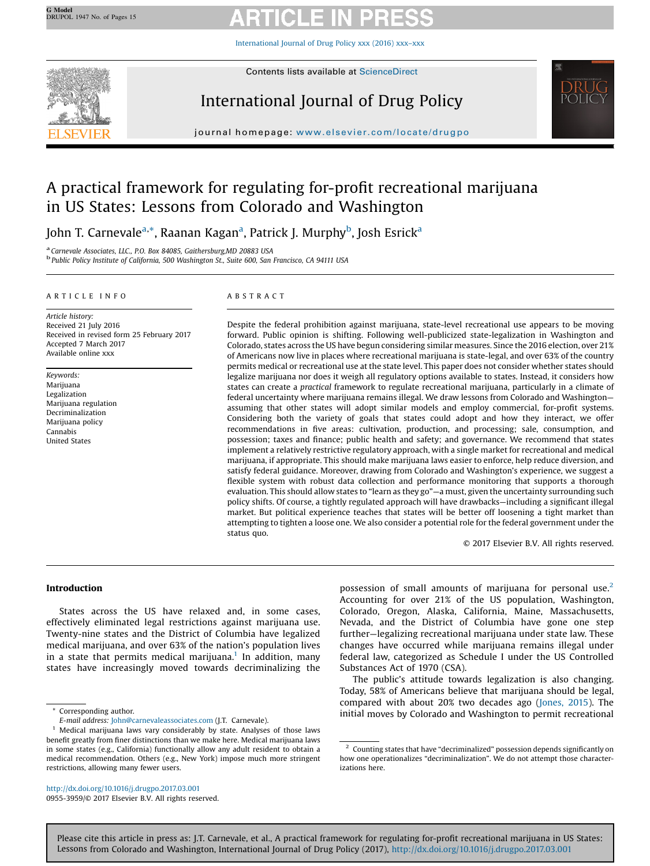[International](http://dx.doi.org/10.1016/j.drugpo.2017.03.001) Journal of Drug Policy xxx (2016) xxx–xxx



Contents lists available at [ScienceDirect](http://www.sciencedirect.com/science/journal/09553959)

## International Journal of Drug Policy



journal homepage: <www.elsevier.com/locate/drugpo>

## A practical framework for regulating for-profit recreational marijuana in US States: Lessons from Colorado and Washington

John T. Carnevale<sup>a,</sup>\*, Raanan Kagan<sup>a</sup>, Patrick J. Murphy<sup>b</sup>, Josh Esrick<sup>a</sup>

<sup>a</sup> Carnevale Associates, LLC., P.O. Box 84085, Gaithersburg,MD 20883 USA<br><sup>b</sup> Public Policy Institute of California, 500 Washington St., Suite 600, San Francisco, CA 94111 USA

### A R T I C L E I N F O

Article history: Received 21 July 2016 Received in revised form 25 February 2017 Accepted 7 March 2017 Available online xxx

Keywords: Marijuana Legalization Marijuana regulation Decriminalization Marijuana policy Cannabis United States

### A B S T R A C T

Despite the federal prohibition against marijuana, state-level recreational use appears to be moving forward. Public opinion is shifting. Following well-publicized state-legalization in Washington and Colorado, states across the US have begun considering similar measures. Since the 2016 election, over 21% of Americans now live in places where recreational marijuana is state-legal, and over 63% of the country permits medical or recreational use at the state level. This paper does not consider whether states should legalize marijuana nor does it weigh all regulatory options available to states. Instead, it considers how states can create a practical framework to regulate recreational marijuana, particularly in a climate of federal uncertainty where marijuana remains illegal. We draw lessons from Colorado and Washington assuming that other states will adopt similar models and employ commercial, for-profit systems. Considering both the variety of goals that states could adopt and how they interact, we offer recommendations in five areas: cultivation, production, and processing; sale, consumption, and possession; taxes and finance; public health and safety; and governance. We recommend that states implement a relatively restrictive regulatory approach, with a single market for recreational and medical marijuana, if appropriate. This should make marijuana laws easier to enforce, help reduce diversion, and satisfy federal guidance. Moreover, drawing from Colorado and Washington's experience, we suggest a flexible system with robust data collection and performance monitoring that supports a thorough evaluation. This should allow states to "learn as they go"—a must, given the uncertainty surrounding such policy shifts. Of course, a tightly regulated approach will have drawbacks—including a significant illegal market. But political experience teaches that states will be better off loosening a tight market than attempting to tighten a loose one. We also consider a potential role for the federal government under the status quo.

© 2017 Elsevier B.V. All rights reserved.

### Introduction

States across the US have relaxed and, in some cases, effectively eliminated legal restrictions against marijuana use. Twenty-nine states and the District of Columbia have legalized medical marijuana, and over 63% of the nation's population lives in a state that permits medical marijuana.<sup>1</sup> In addition, many states have increasingly moved towards decriminalizing the

possession of small amounts of marijuana for personal use.<sup>2</sup> Accounting for over 21% of the US population, Washington, Colorado, Oregon, Alaska, California, Maine, Massachusetts, Nevada, and the District of Columbia have gone one step further—legalizing recreational marijuana under state law. These changes have occurred while marijuana remains illegal under federal law, categorized as Schedule I under the US Controlled Substances Act of 1970 (CSA).

The public's attitude towards legalization is also changing. Today, 58% of Americans believe that marijuana should be legal, compared with about 20% two decades ago (Jones, 2015). The Corresponding author.<br>
The corresponding author.<br>
The corresponding author.

<http://dx.doi.org/10.1016/j.drugpo.2017.03.001> 0955-3959/© 2017 Elsevier B.V. All rights reserved.

Please cite this article in press as: J.T. Carnevale, et al., A practical framework for regulating for-profit recreational marijuana in US States: Lessons from Colorado and Washington, International Journal of Drug Policy (2017), <http://dx.doi.org/10.1016/j.drugpo.2017.03.001>

E-mail address: [John@carnevaleassociates.com](undefined) (J.T. Carnevale).

 $1$  Medical marijuana laws vary considerably by state. Analyses of those laws benefit greatly from finer distinctions than we make here. Medical marijuana laws in some states (e.g., California) functionally allow any adult resident to obtain a medical recommendation. Others (e.g., New York) impose much more stringent restrictions, allowing many fewer users.

 $^{\rm 2}$  Counting states that have "decriminalized" possession depends significantly on how one operationalizes "decriminalization". We do not attempt those characterizations here.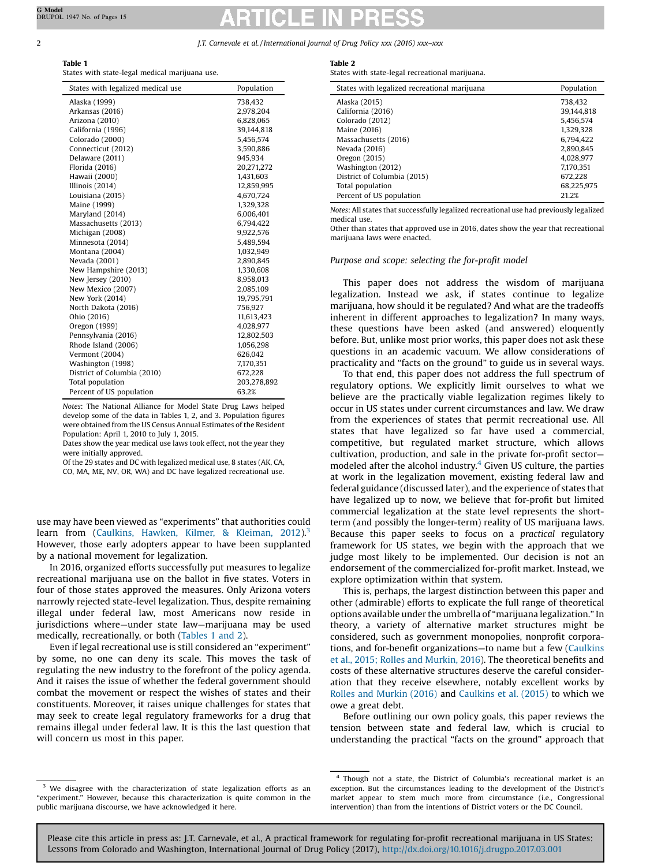### 2 J.T. Carnevale et al. / International Journal of Drug Policy xxx (2016) xxx–xxx

Table 1 States with state-legal medical marijuana use.

| States with legalized medical use | Population  |
|-----------------------------------|-------------|
| Alaska (1999)                     | 738,432     |
| Arkansas (2016)                   | 2,978,204   |
| Arizona (2010)                    | 6,828,065   |
| California (1996)                 | 39,144,818  |
| Colorado (2000)                   | 5,456,574   |
| Connecticut (2012)                | 3,590,886   |
| Delaware (2011)                   | 945.934     |
| Florida (2016)                    | 20,271,272  |
| Hawaii (2000)                     | 1.431.603   |
| Illinois (2014)                   | 12,859,995  |
| Louisiana (2015)                  | 4,670,724   |
| Maine (1999)                      | 1,329,328   |
| Maryland (2014)                   | 6,006,401   |
| Massachusetts (2013)              | 6,794,422   |
| Michigan (2008)                   | 9,922,576   |
| Minnesota (2014)                  | 5,489,594   |
| Montana (2004)                    | 1,032,949   |
| Nevada (2001)                     | 2,890,845   |
| New Hampshire (2013)              | 1,330,608   |
| New Jersey (2010)                 | 8,958,013   |
| New Mexico (2007)                 | 2,085,109   |
| New York (2014)                   | 19,795,791  |
| North Dakota (2016)               | 756,927     |
| Ohio (2016)                       | 11,613,423  |
| Oregon (1999)                     | 4,028,977   |
| Pennsylvania (2016)               | 12,802,503  |
| Rhode Island (2006)               | 1,056,298   |
| Vermont (2004)                    | 626,042     |
| Washington (1998)                 | 7,170,351   |
| District of Columbia (2010)       | 672,228     |
| Total population                  | 203,278,892 |
| Percent of US population          | 63.2%       |

Notes: The National Alliance for Model State Drug Laws helped develop some of the data in Tables 1, 2, and 3. Population figures were obtained from the US Census Annual Estimates of the Resident Population: April 1, 2010 to July 1, 2015.

Dates show the year medical use laws took effect, not the year they were initially approved.

Of the 29 states and DC with legalized medical use, 8 states (AK, CA, CO, MA, ME, NV, OR, WA) and DC have legalized recreational use.

use may have been viewed as "experiments" that authorities could learn from (Caulkins, Hawken, Kilmer, & Kleiman, 2012).<sup>3</sup> However, those early adopters appear to have been supplanted by a national movement for legalization.

In 2016, organized efforts successfully put measures to legalize recreational marijuana use on the ballot in five states. Voters in four of those states approved the measures. Only Arizona voters narrowly rejected state-level legalization. Thus, despite remaining illegal under federal law, most Americans now reside in jurisdictions where—under state law—marijuana may be used medically, recreationally, or both (Tables 1 and 2).

Even if legal recreational use is still considered an "experiment" by some, no one can deny its scale. This moves the task of regulating the new industry to the forefront of the policy agenda. And it raises the issue of whether the federal government should combat the movement or respect the wishes of states and their constituents. Moreover, it raises unique challenges for states that may seek to create legal regulatory frameworks for a drug that remains illegal under federal law. It is this the last question that will concern us most in this paper.

### Table 2

States with state-legal recreational marijuana.

| States with legalized recreational marijuana | Population |
|----------------------------------------------|------------|
| Alaska (2015)                                | 738.432    |
| California (2016)                            | 39.144.818 |
| Colorado (2012)                              | 5,456,574  |
| Maine (2016)                                 | 1.329.328  |
| Massachusetts (2016)                         | 6,794,422  |
| Nevada (2016)                                | 2,890,845  |
| Oregon (2015)                                | 4.028.977  |
| Washington (2012)                            | 7.170.351  |
| District of Columbia (2015)                  | 672.228    |
| Total population                             | 68.225.975 |
| Percent of US population                     | 21.2%      |

Notes: All states that successfully legalized recreational use had previously legalized medical use.

Other than states that approved use in 2016, dates show the year that recreational marijuana laws were enacted.

### Purpose and scope: selecting the for-profit model

This paper does not address the wisdom of marijuana legalization. Instead we ask, if states continue to legalize marijuana, how should it be regulated? And what are the tradeoffs inherent in different approaches to legalization? In many ways, these questions have been asked (and answered) eloquently before. But, unlike most prior works, this paper does not ask these questions in an academic vacuum. We allow considerations of practicality and "facts on the ground" to guide us in several ways.

To that end, this paper does not address the full spectrum of regulatory options. We explicitly limit ourselves to what we believe are the practically viable legalization regimes likely to occur in US states under current circumstances and law. We draw from the experiences of states that permit recreational use. All states that have legalized so far have used a commercial, competitive, but regulated market structure, which allows cultivation, production, and sale in the private for-profit sector modeled after the alcohol industry.<sup>4</sup> Given US culture, the parties at work in the legalization movement, existing federal law and federal guidance (discussed later), and the experience of states that have legalized up to now, we believe that for-profit but limited commercial legalization at the state level represents the shortterm (and possibly the longer-term) reality of US marijuana laws. Because this paper seeks to focus on a practical regulatory framework for US states, we begin with the approach that we judge most likely to be implemented. Our decision is not an endorsement of the commercialized for-profit market. Instead, we explore optimization within that system.

This is, perhaps, the largest distinction between this paper and other (admirable) efforts to explicate the full range of theoretical options available under the umbrella of "marijuana legalization." In theory, a variety of alternative market structures might be considered, such as government monopolies, nonprofit corporations, and for-benefit organizations—to name but a few (Caulkins et al., 2015; Rolles and Murkin, 2016). The theoretical benefits and costs of these alternative structures deserve the careful consideration that they receive elsewhere, notably excellent works by Rolles and Murkin (2016) and Caulkins et al. (2015) to which we owe a great debt.

Before outlining our own policy goals, this paper reviews the tension between state and federal law, which is crucial to understanding the practical "facts on the ground" approach that

 $3$  We disagree with the characterization of state legalization efforts as an "experiment." However, because this characterization is quite common in the public marijuana discourse, we have acknowledged it here.

<sup>4</sup> Though not a state, the District of Columbia's recreational market is an exception. But the circumstances leading to the development of the District's market appear to stem much more from circumstance (i.e., Congressional intervention) than from the intentions of District voters or the DC Council.